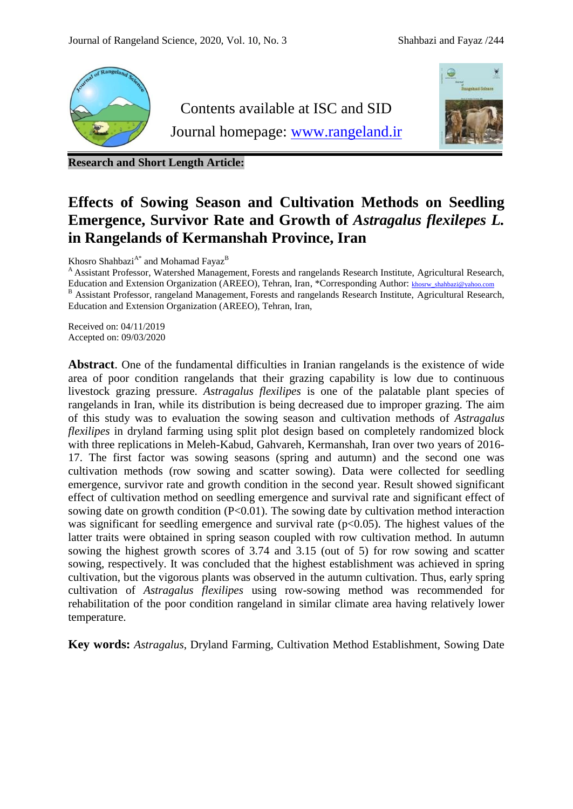

**Research and Short Length Article:**

# **Effects of Sowing Season and Cultivation Methods on Seedling Emergence, Survivor Rate and Growth of** *Astragalus flexilepes L.* **in Rangelands of Kermanshah Province, Iran**

Khosro Shahbazi $^{\rm A*}$  and Mohamad Fayaz $^{\rm B}$ 

<sup>A</sup> Assistant Professor, Watershed Management, Forests and rangelands Research Institute, Agricultural Research, Education and Extension Organization (AREEO), Tehran, Iran, \*Corresponding Author: [khosrw\\_shahbazi@yahoo.com](mailto:khosrw_shahbazi@yahoo.com) B Assistant Professor, rangeland Management, Forests and rangelands Research Institute, Agricultural Research, Education and Extension Organization (AREEO), Tehran, Iran,

Received on: 04/11/2019 Accepted on: 09/03/2020

**Abstract**. One of the fundamental difficulties in Iranian rangelands is the existence of wide area of poor condition rangelands that their grazing capability is low due to continuous livestock grazing pressure. *Astragalus flexilipes* is one of the palatable plant species of rangelands in Iran, while its distribution is being decreased due to improper grazing. The aim of this study was to evaluation the sowing season and cultivation methods of *Astragalus flexilipes* in dryland farming using split plot design based on completely randomized block with three replications in Meleh-Kabud, Gahvareh, Kermanshah, Iran over two years of 2016- 17. The first factor was sowing seasons (spring and autumn) and the second one was cultivation methods (row sowing and scatter sowing). Data were collected for seedling emergence, survivor rate and growth condition in the second year. Result showed significant effect of cultivation method on seedling emergence and survival rate and significant effect of sowing date on growth condition  $(P<0.01)$ . The sowing date by cultivation method interaction was significant for seedling emergence and survival rate  $(p<0.05)$ . The highest values of the latter traits were obtained in spring season coupled with row cultivation method. In autumn sowing the highest growth scores of 3.74 and 3.15 (out of 5) for row sowing and scatter sowing, respectively. It was concluded that the highest establishment was achieved in spring cultivation, but the vigorous plants was observed in the autumn cultivation. Thus, early spring cultivation of *Astragalus flexilipes* using row-sowing method was recommended for rehabilitation of the poor condition rangeland in similar climate area having relatively lower temperature.

**Key words:** *Astragalus*, Dryland Farming, Cultivation Method Establishment, Sowing Date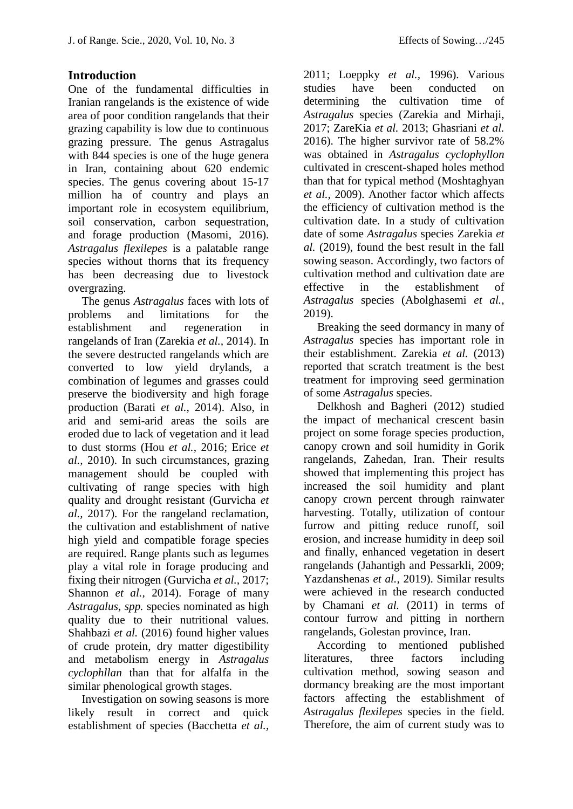### **Introduction**

One of the fundamental difficulties in Iranian rangelands is the existence of wide area of poor condition rangelands that their grazing capability is low due to continuous grazing pressure. The genus Astragalus with 844 species is one of the huge genera in Iran, containing about 620 endemic species. The genus covering about 15-17 million ha of country and plays an important role in ecosystem equilibrium, soil conservation, carbon sequestration, and forage production (Masomi, 2016). *Astragalus flexilepes* is a palatable range species without thorns that its frequency has been decreasing due to livestock overgrazing.

The genus *Astragalus* faces with lots of problems and limitations for the establishment and regeneration in rangelands of Iran (Zarekia *et al.,* 2014). In the severe destructed rangelands which are converted to low yield drylands, a combination of legumes and grasses could preserve the biodiversity and high forage production (Barati *et al.,* 2014). Also, in arid and semi-arid areas the soils are eroded due to lack of vegetation and it lead to dust storms (Hou *et al.,* 2016; Erice *et al.,* 2010). In such circumstances, grazing management should be coupled with cultivating of range species with high quality and drought resistant (Gurvicha *et al.,* 2017). For the rangeland reclamation, the cultivation and establishment of native high yield and compatible forage species are required. Range plants such as legumes play a vital role in forage producing and fixing their nitrogen (Gurvicha *et al.,* 2017; Shannon *et al.,* 2014). Forage of many *Astragalus, spp.* species nominated as high quality due to their nutritional values. Shahbazi *et al.* (2016) found higher values of crude protein, dry matter digestibility and metabolism energy in *Astragalus cyclophllan* than that for alfalfa in the similar phenological growth stages.

Investigation on sowing seasons is more likely result in correct and quick establishment of species (Bacchetta *et al.,*

2011; Loeppky *et al.,* 1996). Various studies have been conducted on determining the cultivation time of *Astragalus* species (Zarekia and Mirhaji, 2017; ZareKia *et al.* 2013; Ghasriani *et al.* 2016). The higher survivor rate of 58.2% was obtained in *Astragalus cyclophyllon* cultivated in crescent-shaped holes method than that for typical method (Moshtaghyan *et al.,* 2009). Another factor which affects the efficiency of cultivation method is the cultivation date. In a study of cultivation date of some *Astragalus* species Zarekia *et al.* (2019), found the best result in the fall sowing season. Accordingly, two factors of cultivation method and cultivation date are effective in the establishment of *Astragalus* species (Abolghasemi *et al.,* 2019).

Breaking the seed dormancy in many of *Astragalus* species has important role in their establishment. Zarekia *et al.* (2013) reported that scratch treatment is the best treatment for improving seed germination of some *Astragalus* species.

Delkhosh and Bagheri (2012) studied the impact of mechanical crescent basin project on some forage species production, canopy crown and soil humidity in Gorik rangelands, Zahedan, Iran. Their results showed that implementing this project has increased the soil humidity and plant canopy crown percent through rainwater harvesting. Totally, utilization of contour furrow and pitting reduce runoff, soil erosion, and increase humidity in deep soil and finally, enhanced vegetation in desert rangelands (Jahantigh and Pessarkli, 2009; Yazdanshenas *et al.,* 2019). Similar results were achieved in the research conducted by Chamani *et al.* (2011) in terms of contour furrow and pitting in northern rangelands, Golestan province, Iran.

According to mentioned published literatures, three factors including cultivation method, sowing season and dormancy breaking are the most important factors affecting the establishment of *Astragalus flexilepes* species in the field. Therefore, the aim of current study was to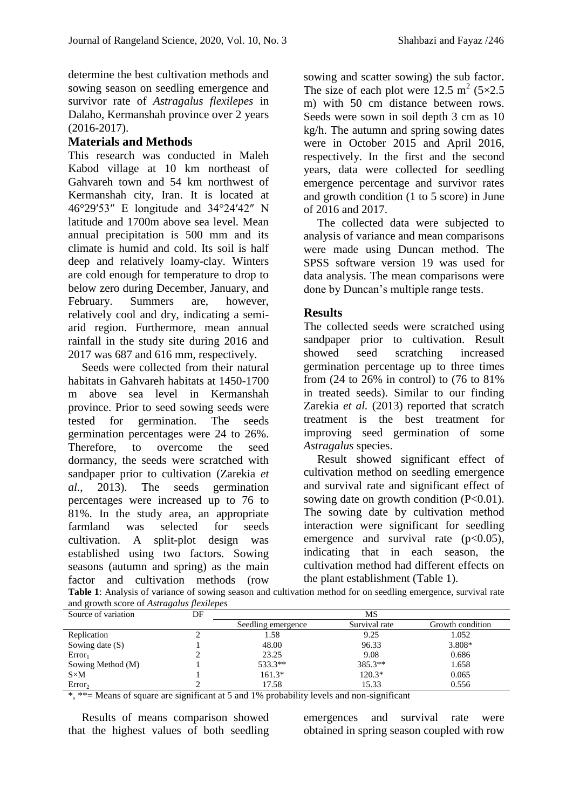determine the best cultivation methods and sowing season on seedling emergence and survivor rate of *Astragalus flexilepes* in Dalaho, Kermanshah province over 2 years (2016-2017).

## **Materials and Methods**

This research was conducted in Maleh Kabod village at 10 km northeast of Gahvareh town and 54 km northwest of Kermanshah city, Iran. It is located at 46°29′53″ E longitude and 34°24′42″ N latitude and 1700m above sea level. Mean annual precipitation is 500 mm and its climate is humid and cold. Its soil is half deep and relatively loamy-clay. Winters are cold enough for temperature to drop to below zero during December, January, and February. Summers are, however, relatively cool and dry, indicating a semiarid region. Furthermore, mean annual rainfall in the study site during 2016 and 2017 was 687 and 616 mm, respectively.

Seeds were collected from their natural habitats in Gahvareh habitats at 1450-1700 m above sea level in Kermanshah province. Prior to seed sowing seeds were tested for germination. The seeds germination percentages were 24 to 26%. Therefore, to overcome the seed dormancy, the seeds were scratched with sandpaper prior to cultivation (Zarekia *et al.*, 2013). The seeds germination percentages were increased up to 76 to 81%. In the study area, an appropriate farmland was selected for seeds cultivation. A split-plot design was established using two factors. Sowing seasons (autumn and spring) as the main factor and cultivation methods (row

sowing and scatter sowing) the sub factor. The size of each plot were 12.5  $m^2$  (5×2.5) m) with 50 cm distance between rows. Seeds were sown in soil depth 3 cm as 10 kg/h. The autumn and spring sowing dates were in October 2015 and April 2016, respectively. In the first and the second years, data were collected for seedling emergence percentage and survivor rates and growth condition (1 to 5 score) in June of 2016 and 2017.

The collected data were subjected to analysis of variance and mean comparisons were made using Duncan method. The SPSS software version 19 was used for data analysis. The mean comparisons were done by Duncan's multiple range tests.

### **Results**

The collected seeds were scratched using sandpaper prior to cultivation. Result showed seed scratching increased germination percentage up to three times from (24 to 26% in control) to (76 to 81% in treated seeds). Similar to our finding Zarekia *et al.* (2013) reported that scratch treatment is the best treatment for improving seed germination of some *Astragalus* species.

Result showed significant effect of cultivation method on seedling emergence and survival rate and significant effect of sowing date on growth condition  $(P<0.01)$ . The sowing date by cultivation method interaction were significant for seedling emergence and survival rate  $(p<0.05)$ , indicating that in each season, the cultivation method had different effects on the plant establishment (Table 1).

| Source of variation | DF | MS                 |               |                  |
|---------------------|----|--------------------|---------------|------------------|
|                     |    | Seedling emergence | Survival rate | Growth condition |
| Replication         |    | 1.58               | 9.25          | 1.052            |
| Sowing date $(S)$   |    | 48.00              | 96.33         | 3.808*           |
| Error <sub>1</sub>  |    | 23.25              | 9.08          | 0.686            |
| Sowing Method (M)   |    | 533.3**            | 385.3**       | 1.658            |
| $S \times M$        |    | $161.3*$           | $120.3*$      | 0.065            |
| Error <sub>2</sub>  |    | 17.58              | 15.33         | 0.556            |

**Table 1**: Analysis of variance of sowing season and cultivation method for on seedling emergence, survival rate and growth score of *Astragalus flexilepes*

\*, \*\*= Means of square are significant at 5 and 1% probability levels and non-significant

Results of means comparison showed that the highest values of both seedling emergences and survival rate were obtained in spring season coupled with row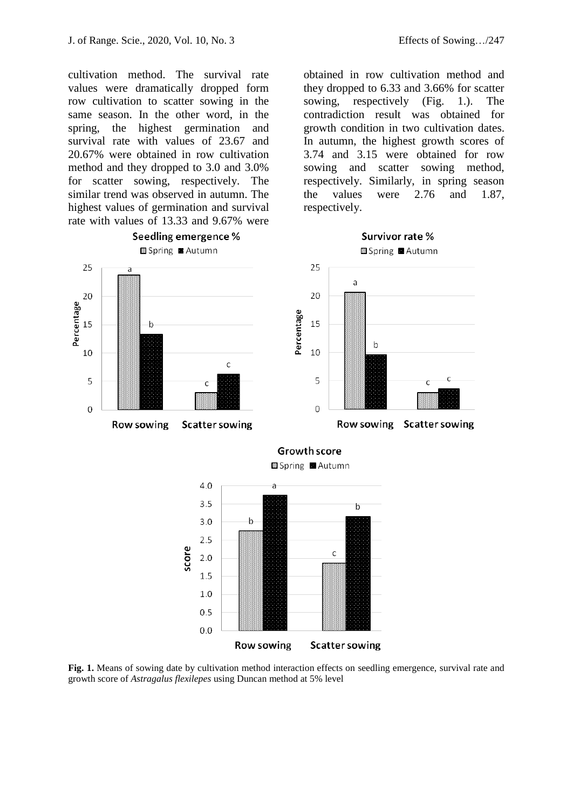cultivation method. The survival rate values were dramatically dropped form row cultivation to scatter sowing in the same season. In the other word, in the spring, the highest germination and survival rate with values of 23.67 and 20.67% were obtained in row cultivation method and they dropped to 3.0 and 3.0% for scatter sowing, respectively. The similar trend was observed in autumn. The highest values of germination and survival rate with values of 13.33 and 9.67% were

Seedling emergence % Survivor rate % Spring Autumn Spring **Autumn** 25 25 a 20 20 Percentage Percentage 15 15 h  $\mathsf b$ 10 10  $\mathsf{C}$ 5 C 5  $\overline{O}$  $\mathbf 0$ Row sowing Scatter sowing Row sowing **Scatter sowing Growth score** Spring **Autumn**  $4.0$ a  $3.5$  $\mathsf b$  $3.0$  $\mathsf b$  $2.5$ score  $\mathbf c$  $2.0$ 1.5  $1.0$  $0.5$  $0.0$ 

**Fig. 1.** Means of sowing date by cultivation method interaction effects on seedling emergence, survival rate and growth score of *Astragalus flexilepes* using Duncan method at 5% level

**Scatter sowing** 

Row sowing

obtained in row cultivation method and they dropped to 6.33 and 3.66% for scatter sowing, respectively (Fig. 1.). The contradiction result was obtained for growth condition in two cultivation dates. In autumn, the highest growth scores of 3.74 and 3.15 were obtained for row sowing and scatter sowing method, respectively. Similarly, in spring season the values were 2.76 and 1.87, respectively.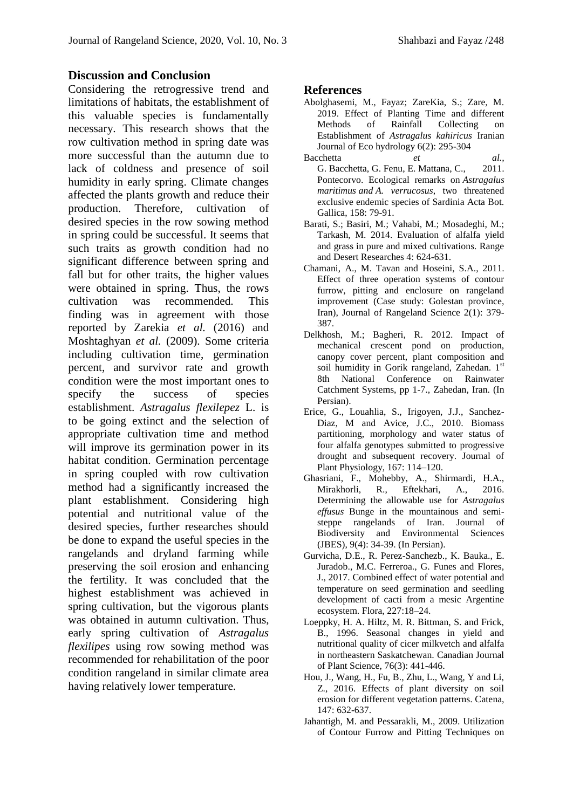#### **Discussion and Conclusion**

Considering the retrogressive trend and limitations of habitats, the establishment of this valuable species is fundamentally necessary. This research shows that the row cultivation method in spring date was more successful than the autumn due to lack of coldness and presence of soil humidity in early spring. Climate changes affected the plants growth and reduce their production. Therefore, cultivation of desired species in the row sowing method in spring could be successful. It seems that such traits as growth condition had no significant difference between spring and fall but for other traits, the higher values were obtained in spring. Thus, the rows cultivation was recommended. This finding was in agreement with those reported by Zarekia *et al.* (2016) and Moshtaghyan *et al.* (2009). Some criteria including cultivation time, germination percent, and survivor rate and growth condition were the most important ones to specify the success of species establishment. *Astragalus flexilepez* L. is to be going extinct and the selection of appropriate cultivation time and method will improve its germination power in its habitat condition. Germination percentage in spring coupled with row cultivation method had a significantly increased the plant establishment. Considering high potential and nutritional value of the desired species, further researches should be done to expand the useful species in the rangelands and dryland farming while preserving the soil erosion and enhancing the fertility. It was concluded that the highest establishment was achieved in spring cultivation, but the vigorous plants was obtained in autumn cultivation. Thus, early spring cultivation of *Astragalus flexilipes* using row sowing method was recommended for rehabilitation of the poor condition rangeland in similar climate area having relatively lower temperature.

#### **References**

- Abolghasemi, M., Fayaz; ZareKia, S.; Zare, M. 2019. Effect of Planting Time and different Methods of Rainfall Collecting on Establishment of *Astragalus kahiricus* Iranian Journal of Eco hydrology 6(2): 295-304
- Bacchetta *et al.*, G. Bacchetta, G. Fenu, E. Mattana, C., 2011. Pontecorvo. Ecological remarks on *Astragalus maritimus and A. verrucosus*, two threatened exclusive endemic species of Sardinia Acta Bot. Gallica, 158: 79-91.
- Barati, S.; Basiri, M.; Vahabi, M.; Mosadeghi, M.; Tarkash, M. 2014. Evaluation of alfalfa yield and grass in pure and mixed cultivations. Range and Desert Researches 4: 624-631.
- Chamani, A., M. Tavan and Hoseini, S.A., 2011. Effect of three operation systems of contour furrow, pitting and enclosure on rangeland improvement (Case study: Golestan province, Iran), Journal of Rangeland Science 2(1): 379- 387.
- Delkhosh, M.; Bagheri, R. 2012. Impact of mechanical crescent pond on production, canopy cover percent, plant composition and soil humidity in Gorik rangeland, Zahedan. 1st 8th National Conference on Rainwater Catchment Systems, pp 1-7., Zahedan, Iran. (In Persian).
- Erice, G., Louahlia, S., Irigoyen, J.J., Sanchez-Diaz, M and Avice, J.C., 2010. Biomass partitioning, morphology and water status of four alfalfa genotypes submitted to progressive drought and subsequent recovery. Journal of Plant Physiology, 167: 114–120.
- Ghasriani, F., Mohebby, A., Shirmardi, H.A., Mirakhorli, R., Eftekhari, A., 2016. Determining the allowable use for *Astragalus effusus* Bunge in the mountainous and semisteppe rangelands of Iran. Journal of Biodiversity and Environmental Sciences (JBES), 9(4): 34-39. (In Persian).
- Gurvicha, D.E., R. Perez-Sanchezb., K. Bauka., E. Juradob., M.C. Ferreroa., G. Funes and Flores, J., 2017. Combined effect of water potential and temperature on seed germination and seedling development of cacti from a mesic Argentine ecosystem. Flora, 227:18–24.
- Loeppky, H. A. Hiltz, M. R. Bittman, S. and Frick, B., 1996. Seasonal changes in yield and nutritional quality of cicer milkvetch and alfalfa in northeastern Saskatchewan. Canadian Journal of Plant Science, 76(3): 441-446.
- Hou, J., Wang, H., Fu, B., Zhu, L., Wang, Y and Li, Z., 2016. Effects of plant diversity on soil erosion for different vegetation patterns. Catena, 147: 632-637.
- Jahantigh, M. and Pessarakli, M., 2009. Utilization of Contour Furrow and Pitting Techniques on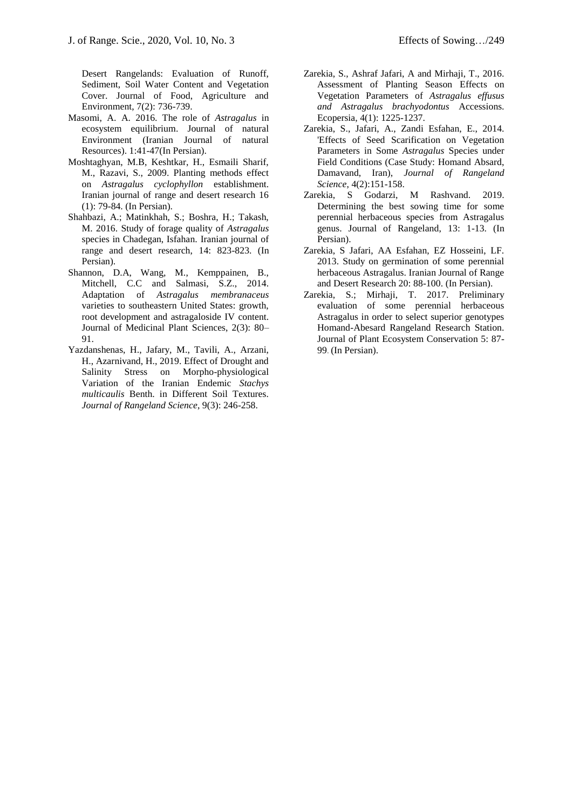Desert Rangelands: Evaluation of Runoff, Sediment, Soil Water Content and Vegetation Cover. Journal of Food, Agriculture and Environment, 7(2): 736-739.

- Masomi, A. A. 2016. The role of *Astragalus* in ecosystem equilibrium. [Journal of natural](http://irannature.areeo.ac.ir/?adsc=1037&lnk=https://jne.ut.ac.ir/)  [Environment \(Iranian Journal of natural](http://irannature.areeo.ac.ir/?adsc=1037&lnk=https://jne.ut.ac.ir/)  [Resources\).](http://irannature.areeo.ac.ir/?adsc=1037&lnk=https://jne.ut.ac.ir/) 1:41-47(In Persian).
- Moshtaghyan, M.B, Keshtkar, H., Esmaili Sharif, M., Razavi, S., 2009. Planting methods effect on *Astragalus cyclophyllon* establishment. Iranian journal of range and desert research 16 (1): 79-84. (In Persian).
- Shahbazi, A.; Matinkhah, S.; Boshra, H.; Takash, M. 2016. Study of forage quality of *Astragalus*  species in Chadegan, Isfahan. Iranian journal of range and desert research, 14: 823-823. (In Persian).
- Shannon, D.A, Wang, M., Kemppainen, B., Mitchell, C.C and Salmasi, S.Z., 2014. Adaptation of *Astragalus membranaceus*  varieties to southeastern United States: growth, root development and astragaloside IV content. Journal of Medicinal Plant Sciences, 2(3): 80– 91.
- Yazdanshenas, H., Jafary, M., Tavili, A., Arzani, H., Azarnivand, H., 2019. Effect of Drought and Salinity Stress on Morpho-physiological Variation of the Iranian Endemic *Stachys multicaulis* Benth. in Different Soil Textures. *Journal of Rangeland Science*, 9(3): 246-258.
- Zarekia, S., Ashraf Jafari, A and Mirhaji, T., 2016. Assessment of Planting Season Effects on Vegetation Parameters of *Astragalus effusus and Astragalus brachyodontus* Accessions. Ecopersia, 4(1): 1225-1237.
- Zarekia, S., Jafari, A., Zandi Esfahan, E., 2014. 'Effects of Seed Scarification on Vegetation Parameters in Some *Astragalus* Species under Field Conditions (Case Study: Homand Absard, Damavand, Iran), *Journal of Rangeland Science*, 4(2):151-158.
- Zarekia, S Godarzi, M Rashvand. 2019. Determining the best sowing time for some perennial herbaceous species from Astragalus genus. Journal of Rangeland, 13: 1-13. (In Persian).
- Zarekia, S Jafari, AA Esfahan, EZ Hosseini, LF. 2013. Study on germination of some perennial herbaceous Astragalus. Iranian Journal of Range and Desert Research 20: 88-100. (In Persian).
- Zarekia, S.; Mirhaji, T. 2017. Preliminary evaluation of some perennial herbaceous Astragalus in order to select superior genotypes Homand-Abesard Rangeland Research Station. Journal of Plant Ecosystem Conservation 5: 87- 99. (In Persian).